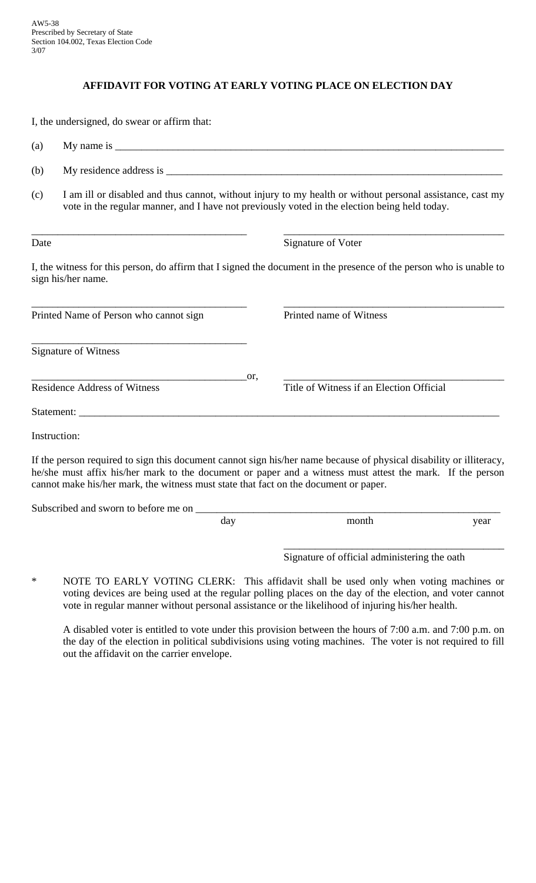## **AFFIDAVIT FOR VOTING AT EARLY VOTING PLACE ON ELECTION DAY**

I, the undersigned, do swear or affirm that:

(a) My name is  $\frac{1}{\sqrt{2}}$ 

- (b) My residence address is  $\Box$
- (c) I am ill or disabled and thus cannot, without injury to my health or without personal assistance, cast my vote in the regular manner, and I have not previously voted in the election being held today.

\_\_\_\_\_\_\_\_\_\_\_\_\_\_\_\_\_\_\_\_\_\_\_\_\_\_\_\_\_\_\_\_\_\_\_\_\_\_\_\_\_ \_\_\_\_\_\_\_\_\_\_\_\_\_\_\_\_\_\_\_\_\_\_\_\_\_\_\_\_\_\_\_\_\_\_\_\_\_\_\_\_\_\_

Date Signature of Voter

I, the witness for this person, do affirm that I signed the document in the presence of the person who is unable to sign his/her name.

| Printed Name of Person who cannot sign |     | Printed name of Witness                  |
|----------------------------------------|-----|------------------------------------------|
| <b>Signature of Witness</b>            |     |                                          |
| <b>Residence Address of Witness</b>    | or. | Title of Witness if an Election Official |
|                                        |     |                                          |
| Instruction:                           |     |                                          |

If the person required to sign this document cannot sign his/her name because of physical disability or illiteracy, he/she must affix his/her mark to the document or paper and a witness must attest the mark. If the person cannot make his/her mark, the witness must state that fact on the document or paper.

Subscribed and sworn to before me on

| ua<br>. | year |
|---------|------|
|         |      |
|         |      |

 $\overline{\phantom{a}}$  , and the contract of the contract of the contract of the contract of the contract of the contract of the contract of the contract of the contract of the contract of the contract of the contract of the contrac Signature of official administering the oath

\* NOTE TO EARLY VOTING CLERK: This affidavit shall be used only when voting machines or voting devices are being used at the regular polling places on the day of the election, and voter cannot vote in regular manner without personal assistance or the likelihood of injuring his/her health.

 A disabled voter is entitled to vote under this provision between the hours of 7:00 a.m. and 7:00 p.m. on the day of the election in political subdivisions using voting machines. The voter is not required to fill out the affidavit on the carrier envelope.